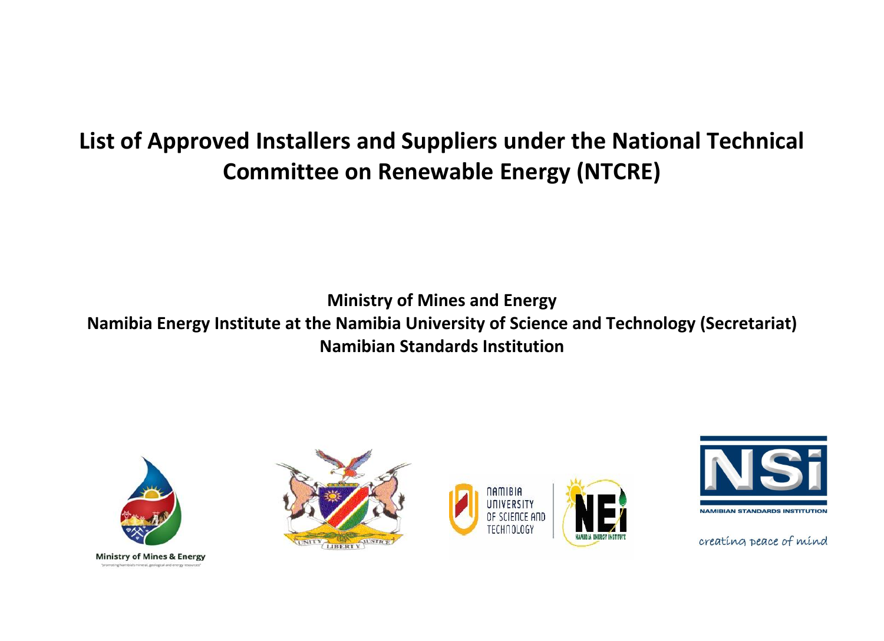# **List of Approved Installers and Suppliers under the National Technical Committee on Renewable Energy (NTCRE)**

**Ministry of Mines and Energy**

**Namibia Energy Institute at the Namibia University of Science and Technology (Secretariat) Namibian Standards Institution**









creating peace of mind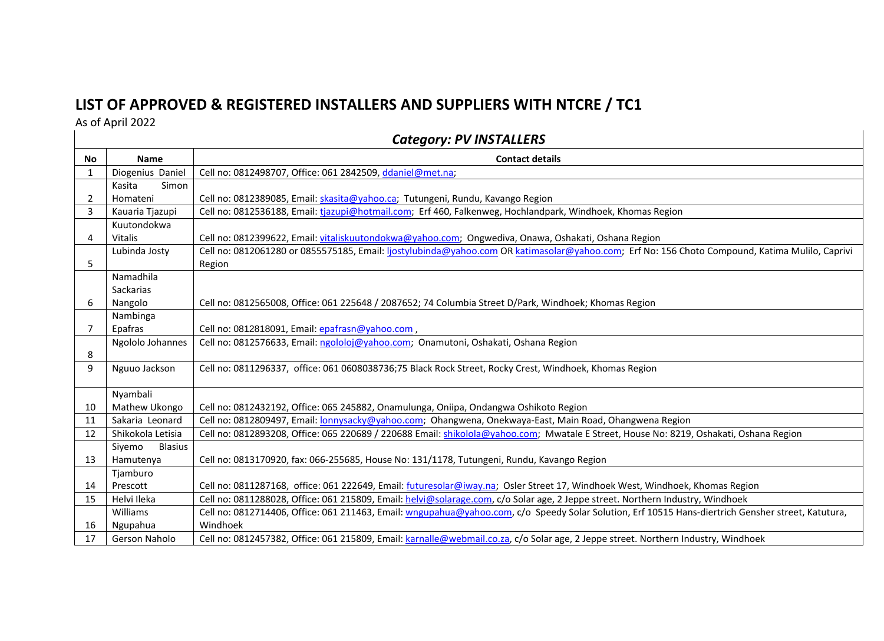## **LIST OF APPROVED & REGISTERED INSTALLERS AND SUPPLIERS WITH NTCRE / TC1**

As of April 2022

#### *Category: PV INSTALLERS*

| No | Name                     | <b>Contact details</b>                                                                                                                                     |  |  |  |
|----|--------------------------|------------------------------------------------------------------------------------------------------------------------------------------------------------|--|--|--|
| 1  | Diogenius Daniel         | Cell no: 0812498707, Office: 061 2842509, ddaniel@met.na;                                                                                                  |  |  |  |
|    | Simon<br>Kasita          |                                                                                                                                                            |  |  |  |
| 2  | Homateni                 | Cell no: 0812389085, Email: skasita@yahoo.ca; Tutungeni, Rundu, Kavango Region                                                                             |  |  |  |
| 3  | Kauaria Tjazupi          | Cell no: 0812536188, Email: tjazupi@hotmail.com; Erf 460, Falkenweg, Hochlandpark, Windhoek, Khomas Region                                                 |  |  |  |
|    | Kuutondokwa              |                                                                                                                                                            |  |  |  |
| 4  | Vitalis                  | Cell no: 0812399622, Email: vitaliskuutondokwa@yahoo.com; Ongwediva, Onawa, Oshakati, Oshana Region                                                        |  |  |  |
|    | Lubinda Josty            | Cell no: 0812061280 or 0855575185, Email: ljostylubinda@yahoo.com OR katimasolar@yahoo.com; Erf No: 156 Choto Compound, Katima Mulilo, Caprivi             |  |  |  |
| 5  |                          | Region                                                                                                                                                     |  |  |  |
|    | Namadhila                |                                                                                                                                                            |  |  |  |
|    | <b>Sackarias</b>         |                                                                                                                                                            |  |  |  |
| 6  | Nangolo                  | Cell no: 0812565008, Office: 061 225648 / 2087652; 74 Columbia Street D/Park, Windhoek; Khomas Region                                                      |  |  |  |
|    | Nambinga                 |                                                                                                                                                            |  |  |  |
| 7  | Epafras                  | Cell no: 0812818091, Email: epafrasn@yahoo.com,                                                                                                            |  |  |  |
|    | Ngololo Johannes         | Cell no: 0812576633, Email: ngololoj@yahoo.com; Onamutoni, Oshakati, Oshana Region                                                                         |  |  |  |
| 8  |                          |                                                                                                                                                            |  |  |  |
| 9  | Nguuo Jackson            | Cell no: 0811296337, office: 061 0608038736;75 Black Rock Street, Rocky Crest, Windhoek, Khomas Region                                                     |  |  |  |
|    |                          |                                                                                                                                                            |  |  |  |
|    | Nyambali                 |                                                                                                                                                            |  |  |  |
| 10 | Mathew Ukongo            | Cell no: 0812432192, Office: 065 245882, Onamulunga, Oniipa, Ondangwa Oshikoto Region                                                                      |  |  |  |
| 11 | Sakaria Leonard          | Cell no: 0812809497, Email: lonnysacky@yahoo.com; Ohangwena, Onekwaya-East, Main Road, Ohangwena Region                                                    |  |  |  |
| 12 | Shikokola Letisia        | Cell no: 0812893208, Office: 065 220689 / 220688 Email: shikolola@yahoo.com; Mwatale E Street, House No: 8219, Oshakati, Oshana Region                     |  |  |  |
|    | <b>Blasius</b><br>Siyemo |                                                                                                                                                            |  |  |  |
| 13 | Hamutenya                | Cell no: 0813170920, fax: 066-255685, House No: 131/1178, Tutungeni, Rundu, Kavango Region                                                                 |  |  |  |
|    | Tjamburo                 |                                                                                                                                                            |  |  |  |
| 14 | Prescott                 | Cell no: 0811287168, office: 061 222649, Email: futuresolar@iway.na; Osler Street 17, Windhoek West, Windhoek, Khomas Region                               |  |  |  |
| 15 | Helvi Ileka              | Cell no: 0811288028, Office: 061 215809, Email: helvi@solarage.com, c/o Solar age, 2 Jeppe street. Northern Industry, Windhoek                             |  |  |  |
|    | Williams                 | Cell no: 0812714406, Office: 061 211463, Email: <b>wngupahua@yahoo.com, c/o Speedy Solar Solution</b> , Erf 10515 Hans-diertrich Gensher street, Katutura, |  |  |  |
| 16 | Ngupahua                 | Windhoek                                                                                                                                                   |  |  |  |
| 17 | Gerson Naholo            | Cell no: 0812457382, Office: 061 215809, Email: karnalle@webmail.co.za, c/o Solar age, 2 Jeppe street. Northern Industry, Windhoek                         |  |  |  |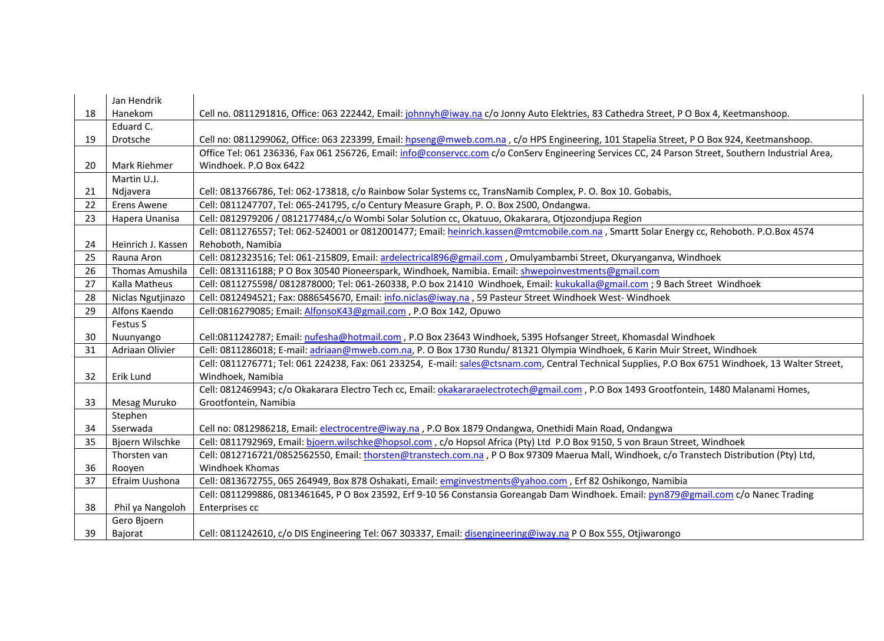|    | Jan Hendrik        |                                                                                                                                                    |
|----|--------------------|----------------------------------------------------------------------------------------------------------------------------------------------------|
| 18 | Hanekom            | Cell no. 0811291816, Office: 063 222442, Email: johnnyh@iway.na c/o Jonny Auto Elektries, 83 Cathedra Street, P O Box 4, Keetmanshoop.             |
|    | Eduard C.          |                                                                                                                                                    |
| 19 | Drotsche           | Cell no: 0811299062, Office: 063 223399, Email: hpseng@mweb.com.na, c/o HPS Engineering, 101 Stapelia Street, PO Box 924, Keetmanshoop.            |
|    |                    | Office Tel: 061 236336, Fax 061 256726, Email: info@conservcc.com c/o ConServ Engineering Services CC, 24 Parson Street, Southern Industrial Area, |
| 20 | Mark Riehmer       | Windhoek. P.O Box 6422                                                                                                                             |
|    | Martin U.J.        |                                                                                                                                                    |
| 21 | Ndjavera           | Cell: 0813766786, Tel: 062-173818, c/o Rainbow Solar Systems cc, TransNamib Complex, P. O. Box 10. Gobabis,                                        |
| 22 | <b>Erens Awene</b> | Cell: 0811247707, Tel: 065-241795, c/o Century Measure Graph, P. O. Box 2500, Ondangwa.                                                            |
| 23 | Hapera Unanisa     | Cell: 0812979206 / 0812177484,c/o Wombi Solar Solution cc, Okatuuo, Okakarara, Otjozondjupa Region                                                 |
|    |                    | Cell: 0811276557; Tel: 062-524001 or 0812001477; Email: heinrich.kassen@mtcmobile.com.na, Smartt Solar Energy cc, Rehoboth. P.O.Box 4574           |
| 24 | Heinrich J. Kassen | Rehoboth, Namibia                                                                                                                                  |
| 25 | Rauna Aron         | Cell: 0812323516; Tel: 061-215809, Email: ardelectrical896@gmail.com, Omulyambambi Street, Okuryanganva, Windhoek                                  |
| 26 | Thomas Amushila    | Cell: 0813116188; P O Box 30540 Pioneerspark, Windhoek, Namibia. Email: shwepoinvestments@gmail.com                                                |
| 27 | Kalla Matheus      | Cell: 0811275598/ 0812878000; Tel: 061-260338, P.O box 21410 Windhoek, Email: kukukalla@gmail.com ; 9 Bach Street Windhoek                         |
| 28 | Niclas Ngutjinazo  | Cell: 0812494521; Fax: 0886545670, Email: info.niclas@iway.na, 59 Pasteur Street Windhoek West-Windhoek                                            |
| 29 | Alfons Kaendo      | Cell:0816279085; Email: AlfonsoK43@gmail.com, P.O Box 142, Opuwo                                                                                   |
|    | Festus S           |                                                                                                                                                    |
|    |                    |                                                                                                                                                    |
| 30 | Nuunyango          | Cell:0811242787; Email: nufesha@hotmail.com, P.O Box 23643 Windhoek, 5395 Hofsanger Street, Khomasdal Windhoek                                     |
| 31 | Adriaan Olivier    | Cell: 0811286018; E-mail: adriaan@mweb.com.na, P. O Box 1730 Rundu/ 81321 Olympia Windhoek, 6 Karin Muir Street, Windhoek                          |
|    |                    | Cell: 0811276771; Tel: 061 224238, Fax: 061 233254, E-mail: sales@ctsnam.com, Central Technical Supplies, P.O Box 6751 Windhoek, 13 Walter Street, |
| 32 | Erik Lund          | Windhoek, Namibia                                                                                                                                  |
|    |                    | Cell: 0812469943; c/o Okakarara Electro Tech cc, Email: okakararaelectrotech@gmail.com, P.O Box 1493 Grootfontein, 1480 Malanami Homes,            |
| 33 | Mesag Muruko       | Grootfontein, Namibia                                                                                                                              |
|    | Stephen            |                                                                                                                                                    |
| 34 | Sserwada           | Cell no: 0812986218, Email: electrocentre@iway.na, P.O Box 1879 Ondangwa, Onethidi Main Road, Ondangwa                                             |
| 35 | Bjoern Wilschke    | Cell: 0811792969, Email: bjoern.wilschke@hopsol.com, c/o Hopsol Africa (Pty) Ltd P.O Box 9150, 5 von Braun Street, Windhoek                        |
|    | Thorsten van       | Cell: 0812716721/0852562550, Email: <i>thorsten@transtech.com.na</i> , PO Box 97309 Maerua Mall, Windhoek, c/o Transtech Distribution (Pty) Ltd,   |
| 36 | Rooyen             | Windhoek Khomas                                                                                                                                    |
| 37 | Efraim Uushona     | Cell: 0813672755, 065 264949, Box 878 Oshakati, Email: emginvestments@yahoo.com, Erf 82 Oshikongo, Namibia                                         |
|    |                    | Cell: 0811299886, 0813461645, P O Box 23592, Erf 9-10 56 Constansia Goreangab Dam Windhoek. Email: pyn879@gmail.com c/o Nanec Trading              |
| 38 | Phil ya Nangoloh   | Enterprises cc                                                                                                                                     |
|    | Gero Bjoern        |                                                                                                                                                    |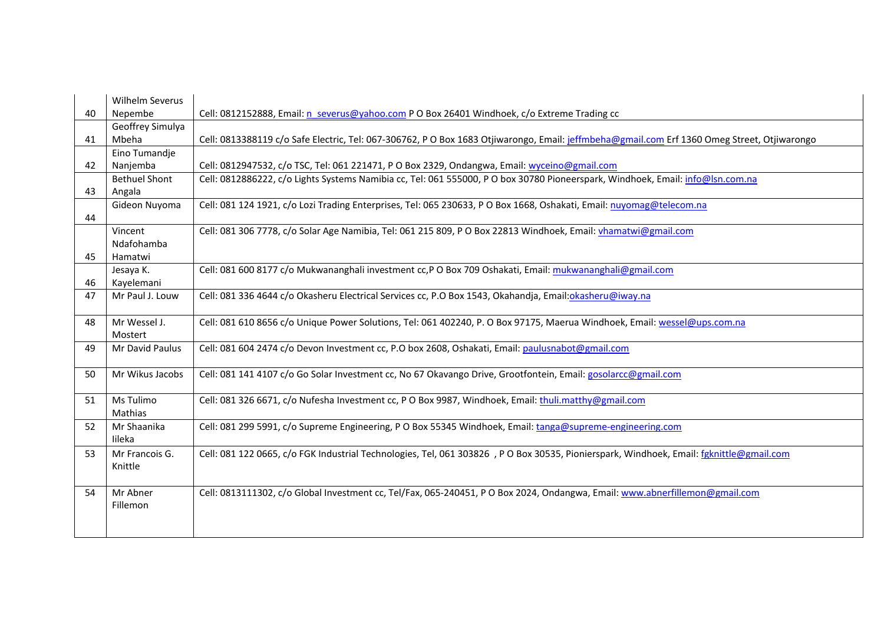|    | Wilhelm Severus        |                                                                                                                                             |
|----|------------------------|---------------------------------------------------------------------------------------------------------------------------------------------|
| 40 | Nepembe                | Cell: 0812152888, Email: n severus@yahoo.com P O Box 26401 Windhoek, c/o Extreme Trading cc                                                 |
|    | Geoffrey Simulya       |                                                                                                                                             |
| 41 | Mbeha                  | Cell: 0813388119 c/o Safe Electric, Tel: 067-306762, P O Box 1683 Otjiwarongo, Email: jeffmbeha@gmail.com Erf 1360 Omeg Street, Otjiwarongo |
|    | Eino Tumandje          |                                                                                                                                             |
| 42 | Nanjemba               | Cell: 0812947532, c/o TSC, Tel: 061 221471, P O Box 2329, Ondangwa, Email: wyceino@gmail.com                                                |
|    | <b>Bethuel Shont</b>   | Cell: 0812886222, c/o Lights Systems Namibia cc, Tel: 061 555000, P O box 30780 Pioneerspark, Windhoek, Email: info@lsn.com.na              |
| 43 | Angala                 |                                                                                                                                             |
|    | Gideon Nuyoma          | Cell: 081 124 1921, c/o Lozi Trading Enterprises, Tel: 065 230633, PO Box 1668, Oshakati, Email: nuyomag@telecom.na                         |
| 44 |                        |                                                                                                                                             |
|    | Vincent                | Cell: 081 306 7778, c/o Solar Age Namibia, Tel: 061 215 809, P O Box 22813 Windhoek, Email: vhamatwi@gmail.com                              |
|    | Ndafohamba             |                                                                                                                                             |
| 45 | Hamatwi                |                                                                                                                                             |
|    | Jesaya K.              | Cell: 081 600 8177 c/o Mukwananghali investment cc, P O Box 709 Oshakati, Email: mukwananghali@gmail.com                                    |
| 46 | Kayelemani             |                                                                                                                                             |
| 47 | Mr Paul J. Louw        | Cell: 081 336 4644 c/o Okasheru Electrical Services cc, P.O Box 1543, Okahandja, Email:okasheru@iway.na                                     |
|    |                        |                                                                                                                                             |
| 48 | Mr Wessel J.           | Cell: 081 610 8656 c/o Unique Power Solutions, Tel: 061 402240, P. O Box 97175, Maerua Windhoek, Email: wessel@ups.com.na                   |
|    | Mostert                |                                                                                                                                             |
| 49 | Mr David Paulus        | Cell: 081 604 2474 c/o Devon Investment cc, P.O box 2608, Oshakati, Email: paulusnabot@gmail.com                                            |
|    |                        |                                                                                                                                             |
| 50 | Mr Wikus Jacobs        | Cell: 081 141 4107 c/o Go Solar Investment cc, No 67 Okavango Drive, Grootfontein, Email: gosolarcc@gmail.com                               |
|    |                        |                                                                                                                                             |
| 51 | Ms Tulimo              | Cell: 081 326 6671, c/o Nufesha Investment cc, P O Box 9987, Windhoek, Email: thuli.matthy@gmail.com                                        |
| 52 | Mathias<br>Mr Shaanika |                                                                                                                                             |
|    | lileka                 | Cell: 081 299 5991, c/o Supreme Engineering, P O Box 55345 Windhoek, Email: tanga@supreme-engineering.com                                   |
|    |                        |                                                                                                                                             |
| 53 | Mr Francois G.         | Cell: 081 122 0665, c/o FGK Industrial Technologies, Tel, 061 303826, P O Box 30535, Pionierspark, Windhoek, Email: fgknittle@gmail.com     |
|    | Knittle                |                                                                                                                                             |
| 54 | Mr Abner               | Cell: 0813111302, c/o Global Investment cc, Tel/Fax, 065-240451, P O Box 2024, Ondangwa, Email: www.abnerfillemon@gmail.com                 |
|    | Fillemon               |                                                                                                                                             |
|    |                        |                                                                                                                                             |
|    |                        |                                                                                                                                             |
|    |                        |                                                                                                                                             |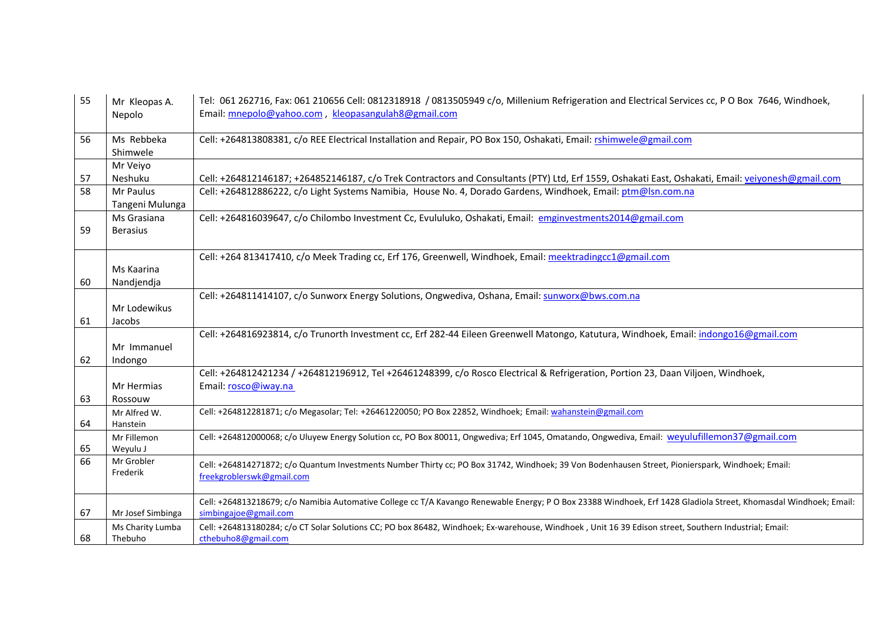| 55 | Mr Kleopas A.<br>Nepolo | Tel: 061 262716, Fax: 061 210656 Cell: 0812318918 / 0813505949 c/o, Millenium Refrigeration and Electrical Services cc, P O Box 7646, Windhoek,<br>Email: mnepolo@yahoo.com, kleopasangulah8@gmail.com |
|----|-------------------------|--------------------------------------------------------------------------------------------------------------------------------------------------------------------------------------------------------|
| 56 | Ms Rebbeka<br>Shimwele  | Cell: +264813808381, c/o REE Electrical Installation and Repair, PO Box 150, Oshakati, Email: rshimwele@gmail.com                                                                                      |
|    | Mr Veiyo                |                                                                                                                                                                                                        |
| 57 | Neshuku                 | Cell: +264812146187; +264852146187, c/o Trek Contractors and Consultants (PTY) Ltd, Erf 1559, Oshakati East, Oshakati, Email: veivonesh@gmail.com                                                      |
| 58 | Mr Paulus               | Cell: +264812886222, c/o Light Systems Namibia, House No. 4, Dorado Gardens, Windhoek, Email: ptm@lsn.com.na                                                                                           |
|    | Tangeni Mulunga         |                                                                                                                                                                                                        |
|    | Ms Grasiana             | Cell: +264816039647, c/o Chilombo Investment Cc, Evululuko, Oshakati, Email: emginvestments2014@gmail.com                                                                                              |
| 59 | <b>Berasius</b>         |                                                                                                                                                                                                        |
|    |                         | Cell: +264 813417410, c/o Meek Trading cc, Erf 176, Greenwell, Windhoek, Email: meektradingcc1@gmail.com                                                                                               |
|    | Ms Kaarina              |                                                                                                                                                                                                        |
| 60 | Nandjendja              |                                                                                                                                                                                                        |
|    |                         | Cell: +264811414107, c/o Sunworx Energy Solutions, Ongwediva, Oshana, Email: sunworx@bws.com.na                                                                                                        |
|    | Mr Lodewikus            |                                                                                                                                                                                                        |
| 61 | Jacobs                  |                                                                                                                                                                                                        |
|    |                         | Cell: +264816923814, c/o Trunorth Investment cc, Erf 282-44 Eileen Greenwell Matongo, Katutura, Windhoek, Email: indongo16@gmail.com                                                                   |
| 62 | Mr Immanuel             |                                                                                                                                                                                                        |
|    | Indongo                 | Cell: +264812421234 / +264812196912, Tel +26461248399, c/o Rosco Electrical & Refrigeration, Portion 23, Daan Viljoen, Windhoek,                                                                       |
|    | Mr Hermias              | Email: rosco@iway.na                                                                                                                                                                                   |
| 63 | Rossouw                 |                                                                                                                                                                                                        |
|    | Mr Alfred W.            | Cell: +264812281871; c/o Megasolar; Tel: +26461220050; PO Box 22852, Windhoek; Email: wahanstein@gmail.com                                                                                             |
| 64 | Hanstein                |                                                                                                                                                                                                        |
|    | Mr Fillemon             | Cell: +264812000068; c/o Uluyew Energy Solution cc, PO Box 80011, Ongwediva; Erf 1045, Omatando, Ongwediva, Email: weyulufillemon37@gmail.com                                                          |
| 65 | Weyulu J                |                                                                                                                                                                                                        |
| 66 | Mr Grobler              | Cell: +264814271872; c/o Quantum Investments Number Thirty cc; PO Box 31742, Windhoek; 39 Von Bodenhausen Street, Pionierspark, Windhoek; Email:                                                       |
|    | Frederik                | freekgroblerswk@gmail.com                                                                                                                                                                              |
|    |                         | Cell: +264813218679; c/o Namibia Automative College cc T/A Kavango Renewable Energy; P O Box 23388 Windhoek, Erf 1428 Gladiola Street, Khomasdal Windhoek; Email:                                      |
| 67 | Mr Josef Simbinga       | simbingajoe@gmail.com                                                                                                                                                                                  |
|    | Ms Charity Lumba        | Cell: +264813180284; c/o CT Solar Solutions CC; PO box 86482, Windhoek; Ex-warehouse, Windhoek, Unit 16 39 Edison street, Southern Industrial; Email:                                                  |
| 68 | Thebuho                 | cthebuho8@gmail.com                                                                                                                                                                                    |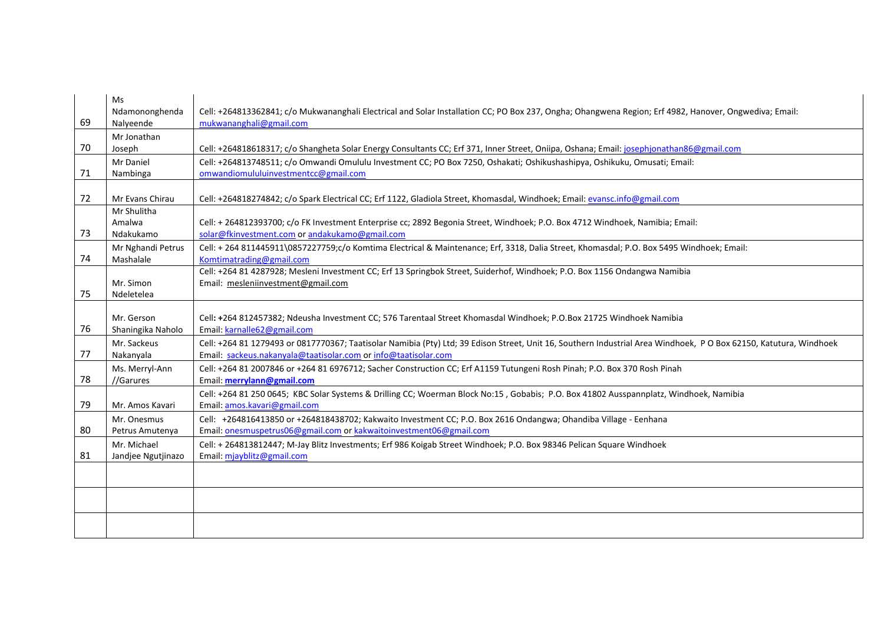|    | Ms                 |                                                                                                                                                                    |
|----|--------------------|--------------------------------------------------------------------------------------------------------------------------------------------------------------------|
|    | Ndamononghenda     | Cell: +264813362841; c/o Mukwananghali Electrical and Solar Installation CC; PO Box 237, Ongha; Ohangwena Region; Erf 4982, Hanover, Ongwediva; Email:             |
| 69 | Nalyeende          | mukwananghali@gmail.com                                                                                                                                            |
|    | Mr Jonathan        |                                                                                                                                                                    |
| 70 | Joseph             | Cell: +264818618317; c/o Shangheta Solar Energy Consultants CC; Erf 371, Inner Street, Oniipa, Oshana; Email: josephjonathan86@gmail.com                           |
|    | Mr Daniel          | Cell: +264813748511; c/o Omwandi Omululu Investment CC; PO Box 7250, Oshakati; Oshikushashipya, Oshikuku, Omusati; Email:                                          |
| 71 | Nambinga           | omwandiomululuinvestmentcc@gmail.com                                                                                                                               |
|    |                    |                                                                                                                                                                    |
| 72 | Mr Evans Chirau    | Cell: +264818274842; c/o Spark Electrical CC; Erf 1122, Gladiola Street, Khomasdal, Windhoek; Email: evansc.info@gmail.com                                         |
|    | Mr Shulitha        |                                                                                                                                                                    |
|    | Amalwa             | Cell: + 264812393700; c/o FK Investment Enterprise cc; 2892 Begonia Street, Windhoek; P.O. Box 4712 Windhoek, Namibia; Email:                                      |
| 73 | Ndakukamo          | solar@fkinvestment.com or andakukamo@gmail.com                                                                                                                     |
|    | Mr Nghandi Petrus  | Cell: + 264 811445911\0857227759;c/o Komtima Electrical & Maintenance; Erf, 3318, Dalia Street, Khomasdal; P.O. Box 5495 Windhoek; Email:                          |
| 74 | Mashalale          | Komtimatrading@gmail.com                                                                                                                                           |
|    |                    | Cell: +264 81 4287928; Mesleni Investment CC; Erf 13 Springbok Street, Suiderhof, Windhoek; P.O. Box 1156 Ondangwa Namibia                                         |
|    | Mr. Simon          | Email: mesleniinvestment@gmail.com                                                                                                                                 |
| 75 | Ndeletelea         |                                                                                                                                                                    |
|    |                    |                                                                                                                                                                    |
| 76 | Mr. Gerson         | Cell: +264 812457382; Ndeusha Investment CC; 576 Tarentaal Street Khomasdal Windhoek; P.O.Box 21725 Windhoek Namibia                                               |
|    | Shaningika Naholo  | Email: karnalle62@gmail.com                                                                                                                                        |
| 77 | Mr. Sackeus        | Cell: +264 81 1279493 or 0817770367; Taatisolar Namibia (Pty) Ltd; 39 Edison Street, Unit 16, Southern Industrial Area Windhoek, P O Box 62150, Katutura, Windhoek |
|    | Nakanyala          | Email: sackeus.nakanyala@taatisolar.com or info@taatisolar.com                                                                                                     |
|    | Ms. Merryl-Ann     | Cell: +264 81 2007846 or +264 81 6976712; Sacher Construction CC; Erf A1159 Tutungeni Rosh Pinah; P.O. Box 370 Rosh Pinah                                          |
| 78 | //Garures          | Email: merrylann@gmail.com                                                                                                                                         |
|    |                    | Cell: +264 81 250 0645; KBC Solar Systems & Drilling CC; Woerman Block No:15, Gobabis; P.O. Box 41802 Ausspannplatz, Windhoek, Namibia                             |
| 79 | Mr. Amos Kavari    | Email: amos.kavari@gmail.com                                                                                                                                       |
|    | Mr. Onesmus        | Cell: +264816413850 or +264818438702; Kakwaito Investment CC; P.O. Box 2616 Ondangwa; Ohandiba Village - Eenhana                                                   |
| 80 | Petrus Amutenya    | Email: onesmuspetrus06@gmail.com or kakwaitoinvestment06@gmail.com                                                                                                 |
|    | Mr. Michael        | Cell: + 264813812447; M-Jay Blitz Investments; Erf 986 Koigab Street Windhoek; P.O. Box 98346 Pelican Square Windhoek                                              |
| 81 | Jandjee Ngutjinazo | Email: mjayblitz@gmail.com                                                                                                                                         |
|    |                    |                                                                                                                                                                    |
|    |                    |                                                                                                                                                                    |
|    |                    |                                                                                                                                                                    |
|    |                    |                                                                                                                                                                    |
|    |                    |                                                                                                                                                                    |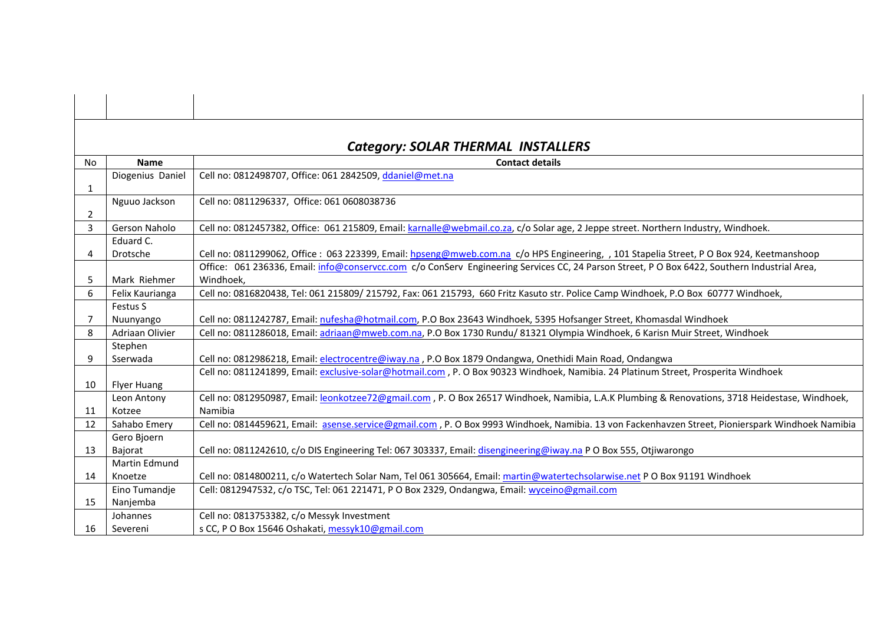# *Category: SOLAR THERMAL INSTALLERS*

| No | <b>Name</b>        | <b>Contact details</b>                                                                                                                                 |
|----|--------------------|--------------------------------------------------------------------------------------------------------------------------------------------------------|
|    | Diogenius Daniel   | Cell no: 0812498707, Office: 061 2842509, ddaniel@met.na                                                                                               |
| 1  |                    |                                                                                                                                                        |
|    | Nguuo Jackson      | Cell no: 0811296337, Office: 061 0608038736                                                                                                            |
| 2  |                    |                                                                                                                                                        |
| 3  | Gerson Naholo      | Cell no: 0812457382, Office: 061 215809, Email: karnalle@webmail.co.za, c/o Solar age, 2 Jeppe street. Northern Industry, Windhoek.                    |
|    | Eduard C.          |                                                                                                                                                        |
| 4  | Drotsche           | Cell no: 0811299062, Office : 063 223399, Email: hpseng@mweb.com.na c/o HPS Engineering, 101 Stapelia Street, PO Box 924, Keetmanshoop                 |
|    |                    | Office: 061 236336, Email: info@conservcc.com c/o ConServ Engineering Services CC, 24 Parson Street, PO Box 6422, Southern Industrial Area,            |
| 5  | Mark Riehmer       | Windhoek,                                                                                                                                              |
| 6  | Felix Kaurianga    | Cell no: 0816820438, Tel: 061 215809/ 215792, Fax: 061 215793, 660 Fritz Kasuto str. Police Camp Windhoek, P.O Box 60777 Windhoek,                     |
|    | Festus S           |                                                                                                                                                        |
|    | Nuunyango          | Cell no: 0811242787, Email: nufesha@hotmail.com, P.O Box 23643 Windhoek, 5395 Hofsanger Street, Khomasdal Windhoek                                     |
| 8  | Adriaan Olivier    | Cell no: 0811286018, Email: adriaan@mweb.com.na, P.O Box 1730 Rundu/ 81321 Olympia Windhoek, 6 Karisn Muir Street, Windhoek                            |
|    | Stephen            |                                                                                                                                                        |
| 9  | Sserwada           | Cell no: 0812986218, Email: electrocentre@iway.na, P.O Box 1879 Ondangwa, Onethidi Main Road, Ondangwa                                                 |
|    |                    | Cell no: 0811241899, Email: exclusive-solar@hotmail.com, P. O Box 90323 Windhoek, Namibia. 24 Platinum Street, Prosperita Windhoek                     |
| 10 | <b>Flyer Huang</b> |                                                                                                                                                        |
|    | Leon Antony        | Cell no: 0812950987, Email: <i>leonkotzee72@gmail.com</i> , P. O Box 26517 Windhoek, Namibia, L.A.K Plumbing & Renovations, 3718 Heidestase, Windhoek, |
| 11 | Kotzee             | Namibia                                                                                                                                                |
| 12 | Sahabo Emery       | Cell no: 0814459621, Email: asense.service@gmail.com, P. O Box 9993 Windhoek, Namibia. 13 von Fackenhavzen Street, Pionierspark Windhoek Namibia       |
|    | Gero Bjoern        |                                                                                                                                                        |
| 13 | Bajorat            | Cell no: 0811242610, c/o DIS Engineering Tel: 067 303337, Email: disengineering@iway.na P O Box 555, Otjiwarongo                                       |
|    | Martin Edmund      |                                                                                                                                                        |
| 14 | Knoetze            | Cell no: 0814800211, c/o Watertech Solar Nam, Tel 061 305664, Email: martin@watertechsolarwise.net PO Box 91191 Windhoek                               |
|    | Eino Tumandje      | Cell: 0812947532, c/o TSC, Tel: 061 221471, P O Box 2329, Ondangwa, Email: wyceino@gmail.com                                                           |
| 15 | Nanjemba           |                                                                                                                                                        |
|    | Johannes           | Cell no: 0813753382, c/o Messyk Investment                                                                                                             |
| 16 | Severeni           | s CC, P O Box 15646 Oshakati, messyk10@gmail.com                                                                                                       |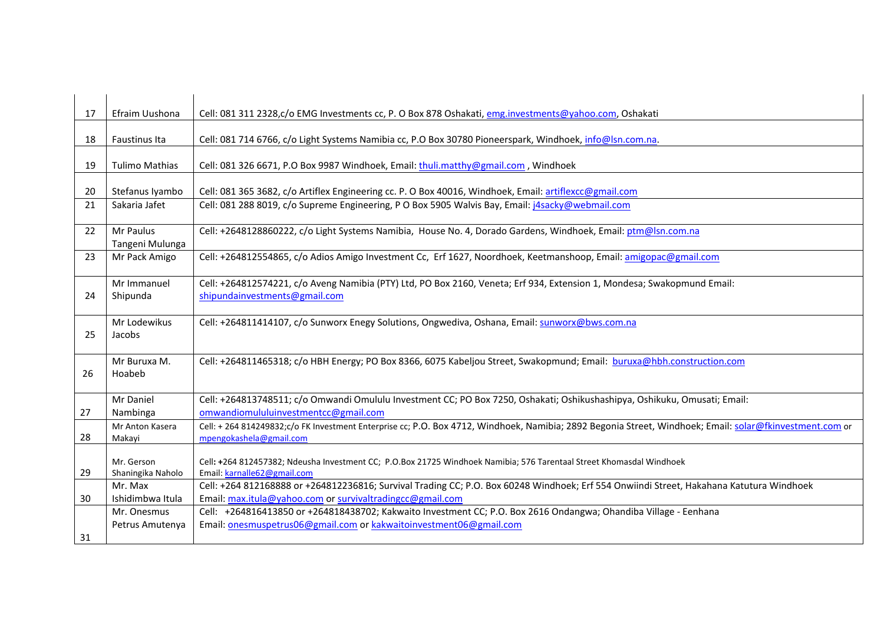| 17 | Efraim Uushona                  | Cell: 081 311 2328,c/o EMG Investments cc, P. O Box 878 Oshakati, emg.investments@yahoo.com, Oshakati                                                                                                 |
|----|---------------------------------|-------------------------------------------------------------------------------------------------------------------------------------------------------------------------------------------------------|
| 18 | Faustinus Ita                   | Cell: 081 714 6766, c/o Light Systems Namibia cc, P.O Box 30780 Pioneerspark, Windhoek, info@lsn.com.na.                                                                                              |
| 19 | <b>Tulimo Mathias</b>           | Cell: 081 326 6671, P.O Box 9987 Windhoek, Email: thuli.matthy@gmail.com, Windhoek                                                                                                                    |
| 20 | Stefanus Iyambo                 | Cell: 081 365 3682, c/o Artiflex Engineering cc. P. O Box 40016, Windhoek, Email: artiflexcc@gmail.com                                                                                                |
| 21 | Sakaria Jafet                   | Cell: 081 288 8019, c/o Supreme Engineering, P O Box 5905 Walvis Bay, Email: j4sacky@webmail.com                                                                                                      |
| 22 | Mr Paulus<br>Tangeni Mulunga    | Cell: +2648128860222, c/o Light Systems Namibia, House No. 4, Dorado Gardens, Windhoek, Email: ptm@lsn.com.na                                                                                         |
| 23 | Mr Pack Amigo                   | Cell: +264812554865, c/o Adios Amigo Investment Cc, Erf 1627, Noordhoek, Keetmanshoop, Email: amigopac@gmail.com                                                                                      |
| 24 | Mr Immanuel<br>Shipunda         | Cell: +264812574221, c/o Aveng Namibia (PTY) Ltd, PO Box 2160, Veneta; Erf 934, Extension 1, Mondesa; Swakopmund Email:<br>shipundainvestments@gmail.com                                              |
| 25 | Mr Lodewikus<br>Jacobs          | Cell: +264811414107, c/o Sunworx Enegy Solutions, Ongwediva, Oshana, Email: sunworx@bws.com.na                                                                                                        |
| 26 | Mr Buruxa M.<br>Hoabeb          | Cell: +264811465318; c/o HBH Energy; PO Box 8366, 6075 Kabeljou Street, Swakopmund; Email: buruxa@hbh.construction.com                                                                                |
| 27 | Mr Daniel<br>Nambinga           | Cell: +264813748511; c/o Omwandi Omululu Investment CC; PO Box 7250, Oshakati; Oshikushashipya, Oshikuku, Omusati; Email:<br>omwandiomululuinvestmentcc@gmail.com                                     |
| 28 | Mr Anton Kasera<br>Makayi       | Cell: + 264 814249832;c/o FK Investment Enterprise cc; P.O. Box 4712, Windhoek, Namibia; 2892 Begonia Street, Windhoek; Email: solar@fkinvestment.com or<br>mpengokashela@gmail.com                   |
| 29 | Mr. Gerson<br>Shaningika Naholo | Cell: +264 812457382; Ndeusha Investment CC; P.O.Box 21725 Windhoek Namibia; 576 Tarentaal Street Khomasdal Windhoek<br>Email: karnalle62@gmail.com                                                   |
| 30 | Mr. Max<br>Ishidimbwa Itula     | Cell: +264 812168888 or +264812236816; Survival Trading CC; P.O. Box 60248 Windhoek; Erf 554 Onwiindi Street, Hakahana Katutura Windhoek<br>Email: max.itula@yahoo.com or survivaltradingcc@gmail.com |
|    | Mr. Onesmus                     | Cell: +264816413850 or +264818438702; Kakwaito Investment CC; P.O. Box 2616 Ondangwa; Ohandiba Village - Eenhana                                                                                      |
| 31 | Petrus Amutenya                 | Email: onesmuspetrus06@gmail.com or kakwaitoinvestment06@gmail.com                                                                                                                                    |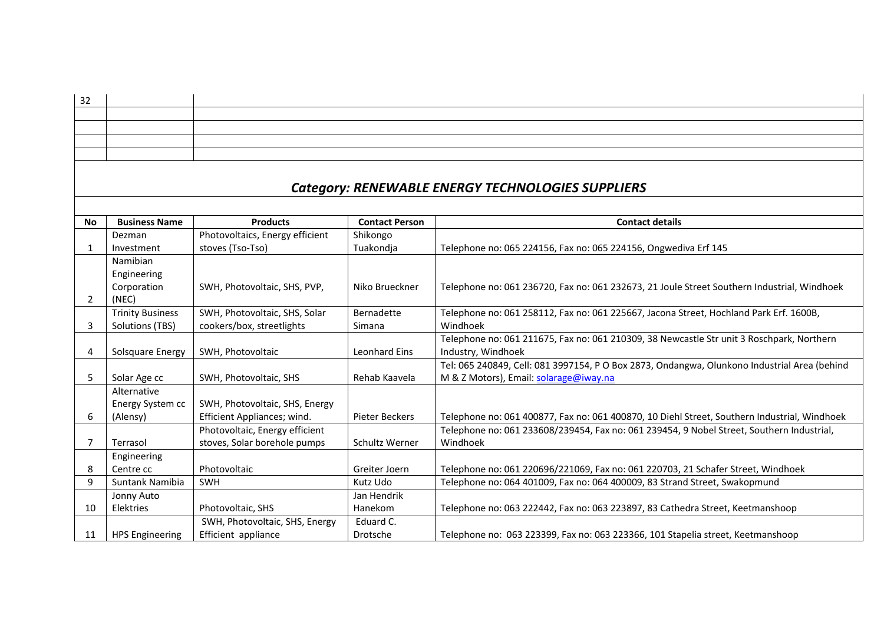### *Category: RENEWABLE ENERGY TECHNOLOGIES SUPPLIERS*

32

| <b>No</b>      | <b>Business Name</b>    | <b>Products</b>                 | <b>Contact Person</b> | <b>Contact details</b>                                                                       |
|----------------|-------------------------|---------------------------------|-----------------------|----------------------------------------------------------------------------------------------|
|                | Dezman                  | Photovoltaics, Energy efficient | Shikongo              |                                                                                              |
| 1              | Investment              | stoves (Tso-Tso)                | Tuakondja             | Telephone no: 065 224156, Fax no: 065 224156, Ongwediva Erf 145                              |
|                | Namibian                |                                 |                       |                                                                                              |
|                | Engineering             |                                 |                       |                                                                                              |
|                | Corporation             | SWH, Photovoltaic, SHS, PVP,    | Niko Brueckner        | Telephone no: 061 236720, Fax no: 061 232673, 21 Joule Street Southern Industrial, Windhoek  |
| 2              | (NEC)                   |                                 |                       |                                                                                              |
|                | <b>Trinity Business</b> | SWH, Photovoltaic, SHS, Solar   | Bernadette            | Telephone no: 061 258112, Fax no: 061 225667, Jacona Street, Hochland Park Erf. 1600B,       |
| 3              | Solutions (TBS)         | cookers/box, streetlights       | Simana                | Windhoek                                                                                     |
|                |                         |                                 |                       | Telephone no: 061 211675, Fax no: 061 210309, 38 Newcastle Str unit 3 Roschpark, Northern    |
| 4              | Solsquare Energy        | SWH, Photovoltaic               | <b>Leonhard Eins</b>  | Industry, Windhoek                                                                           |
|                |                         |                                 |                       | Tel: 065 240849, Cell: 081 3997154, P O Box 2873, Ondangwa, Olunkono Industrial Area (behind |
| 5              | Solar Age cc            | SWH, Photovoltaic, SHS          | Rehab Kaavela         | M & Z Motors), Email: solarage@iway.na                                                       |
|                | Alternative             |                                 |                       |                                                                                              |
|                | Energy System cc        | SWH, Photovoltaic, SHS, Energy  |                       |                                                                                              |
| 6              | (Alensy)                | Efficient Appliances; wind.     | Pieter Beckers        | Telephone no: 061 400877, Fax no: 061 400870, 10 Diehl Street, Southern Industrial, Windhoek |
|                |                         | Photovoltaic, Energy efficient  |                       | Telephone no: 061 233608/239454, Fax no: 061 239454, 9 Nobel Street, Southern Industrial,    |
| $\overline{7}$ | Terrasol                | stoves, Solar borehole pumps    | Schultz Werner        | Windhoek                                                                                     |
|                | Engineering             |                                 |                       |                                                                                              |
| 8              | Centre cc               | Photovoltaic                    | Greiter Joern         | Telephone no: 061 220696/221069, Fax no: 061 220703, 21 Schafer Street, Windhoek             |
| 9              | Suntank Namibia         | <b>SWH</b>                      | Kutz Udo              | Telephone no: 064 401009, Fax no: 064 400009, 83 Strand Street, Swakopmund                   |
|                | Jonny Auto              |                                 | Jan Hendrik           |                                                                                              |
| 10             | Elektries               | Photovoltaic, SHS               | Hanekom               | Telephone no: 063 222442, Fax no: 063 223897, 83 Cathedra Street, Keetmanshoop               |
|                |                         | SWH, Photovoltaic, SHS, Energy  | Eduard C.             |                                                                                              |
| 11             | <b>HPS Engineering</b>  | Efficient appliance             | Drotsche              | Telephone no: 063 223399, Fax no: 063 223366, 101 Stapelia street, Keetmanshoop              |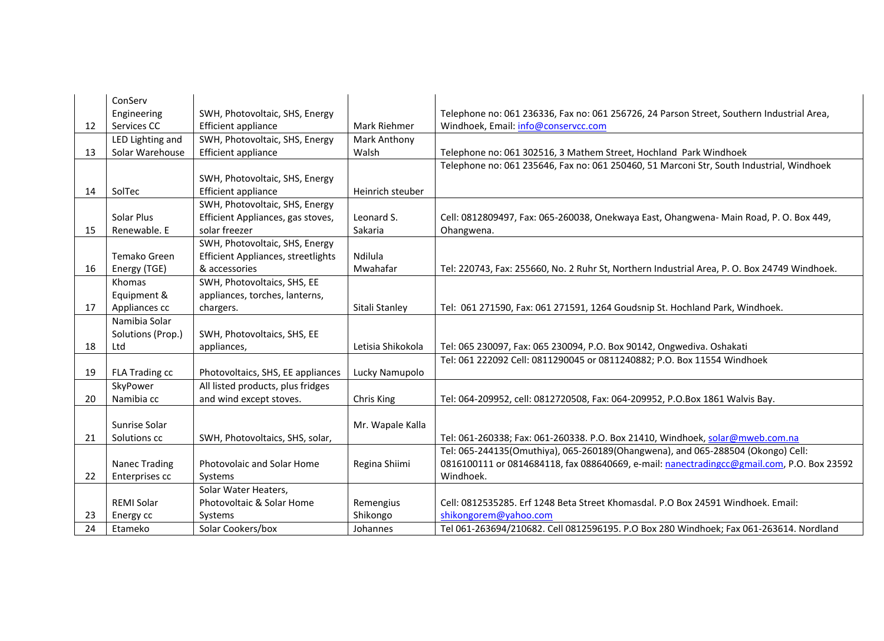|    | ConServ              |                                           |                   |                                                                                              |
|----|----------------------|-------------------------------------------|-------------------|----------------------------------------------------------------------------------------------|
|    | Engineering          | SWH, Photovoltaic, SHS, Energy            |                   | Telephone no: 061 236336, Fax no: 061 256726, 24 Parson Street, Southern Industrial Area,    |
| 12 | Services CC          | Efficient appliance                       | Mark Riehmer      | Windhoek, Email: info@conservcc.com                                                          |
|    | LED Lighting and     | SWH, Photovoltaic, SHS, Energy            | Mark Anthony      |                                                                                              |
| 13 | Solar Warehouse      | Efficient appliance                       | Walsh             | Telephone no: 061 302516, 3 Mathem Street, Hochland Park Windhoek                            |
|    |                      |                                           |                   | Telephone no: 061 235646, Fax no: 061 250460, 51 Marconi Str, South Industrial, Windhoek     |
|    |                      | SWH, Photovoltaic, SHS, Energy            |                   |                                                                                              |
| 14 | SolTec               | Efficient appliance                       | Heinrich steuber  |                                                                                              |
|    |                      | SWH, Photovoltaic, SHS, Energy            |                   |                                                                                              |
|    | Solar Plus           | Efficient Appliances, gas stoves,         | Leonard S.        | Cell: 0812809497, Fax: 065-260038, Onekwaya East, Ohangwena- Main Road, P. O. Box 449,       |
| 15 | Renewable. E         | solar freezer                             | Sakaria           | Ohangwena.                                                                                   |
|    |                      | SWH, Photovoltaic, SHS, Energy            |                   |                                                                                              |
|    | Temako Green         | <b>Efficient Appliances, streetlights</b> | Ndilula           |                                                                                              |
| 16 | Energy (TGE)         | & accessories                             | Mwahafar          | Tel: 220743, Fax: 255660, No. 2 Ruhr St, Northern Industrial Area, P. O. Box 24749 Windhoek. |
|    | Khomas               | SWH, Photovoltaics, SHS, EE               |                   |                                                                                              |
|    | Equipment &          | appliances, torches, lanterns,            |                   |                                                                                              |
| 17 | Appliances cc        | chargers.                                 | Sitali Stanley    | Tel: 061 271590, Fax: 061 271591, 1264 Goudsnip St. Hochland Park, Windhoek.                 |
|    | Namibia Solar        |                                           |                   |                                                                                              |
|    | Solutions (Prop.)    | SWH, Photovoltaics, SHS, EE               |                   |                                                                                              |
| 18 | Ltd                  | appliances,                               | Letisia Shikokola | Tel: 065 230097, Fax: 065 230094, P.O. Box 90142, Ongwediva. Oshakati                        |
|    |                      |                                           |                   | Tel: 061 222092 Cell: 0811290045 or 0811240882; P.O. Box 11554 Windhoek                      |
| 19 | FLA Trading cc       | Photovoltaics, SHS, EE appliances         | Lucky Namupolo    |                                                                                              |
|    | SkyPower             | All listed products, plus fridges         |                   |                                                                                              |
| 20 | Namibia cc           | and wind except stoves.                   | Chris King        | Tel: 064-209952, cell: 0812720508, Fax: 064-209952, P.O.Box 1861 Walvis Bay.                 |
|    |                      |                                           |                   |                                                                                              |
|    | Sunrise Solar        |                                           | Mr. Wapale Kalla  |                                                                                              |
| 21 | Solutions cc         | SWH, Photovoltaics, SHS, solar,           |                   | Tel: 061-260338; Fax: 061-260338. P.O. Box 21410, Windhoek, solar@mweb.com.na                |
|    |                      |                                           |                   | Tel: 065-244135(Omuthiya), 065-260189(Ohangwena), and 065-288504 (Okongo) Cell:              |
|    | <b>Nanec Trading</b> | Photovolaic and Solar Home                | Regina Shiimi     | 0816100111 or 0814684118, fax 088640669, e-mail: nanectradingcc@gmail.com, P.O. Box 23592    |
| 22 | Enterprises cc       | Systems                                   |                   | Windhoek.                                                                                    |
|    |                      | Solar Water Heaters,                      |                   |                                                                                              |
|    | <b>REMI Solar</b>    | Photovoltaic & Solar Home                 | Remengius         | Cell: 0812535285. Erf 1248 Beta Street Khomasdal. P.O Box 24591 Windhoek. Email:             |
| 23 | Energy cc            | Systems                                   | Shikongo          | shikongorem@yahoo.com                                                                        |
| 24 | Etameko              | Solar Cookers/box                         | Johannes          | Tel 061-263694/210682. Cell 0812596195. P.O Box 280 Windhoek; Fax 061-263614. Nordland       |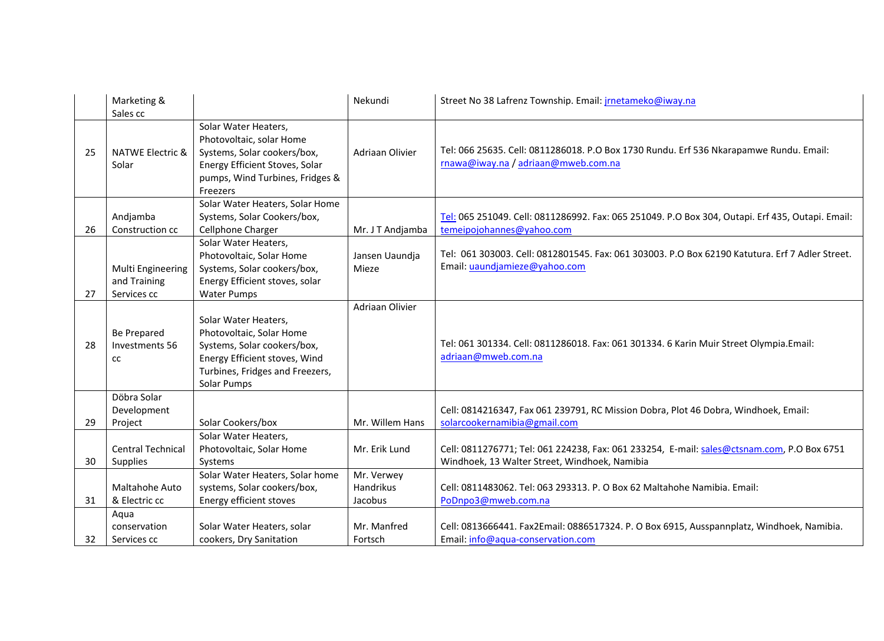|    | Marketing &<br>Sales cc                          |                                                                                                                                                                    | Nekundi                                   | Street No 38 Lafrenz Township. Email: jrnetameko@iway.na                                                                                    |
|----|--------------------------------------------------|--------------------------------------------------------------------------------------------------------------------------------------------------------------------|-------------------------------------------|---------------------------------------------------------------------------------------------------------------------------------------------|
| 25 | <b>NATWE Electric &amp;</b><br>Solar             | Solar Water Heaters,<br>Photovoltaic, solar Home<br>Systems, Solar cookers/box,<br>Energy Efficient Stoves, Solar<br>pumps, Wind Turbines, Fridges &<br>Freezers   | Adriaan Olivier                           | Tel: 066 25635. Cell: 0811286018. P.O Box 1730 Rundu. Erf 536 Nkarapamwe Rundu. Email:<br>rnawa@iway.na / adriaan@mweb.com.na               |
| 26 | Andjamba<br>Construction cc                      | Solar Water Heaters, Solar Home<br>Systems, Solar Cookers/box,<br>Cellphone Charger                                                                                | Mr. J T Andjamba                          | Tel: 065 251049. Cell: 0811286992. Fax: 065 251049. P.O Box 304, Outapi. Erf 435, Outapi. Email:<br>temeipojohannes@yahoo.com               |
| 27 | Multi Engineering<br>and Training<br>Services cc | Solar Water Heaters,<br>Photovoltaic, Solar Home<br>Systems, Solar cookers/box,<br>Energy Efficient stoves, solar<br><b>Water Pumps</b>                            | Jansen Uaundja<br>Mieze                   | Tel: 061 303003. Cell: 0812801545. Fax: 061 303003. P.O Box 62190 Katutura. Erf 7 Adler Street.<br>Email: uaundjamieze@yahoo.com            |
| 28 | <b>Be Prepared</b><br>Investments 56<br>cc       | Solar Water Heaters,<br>Photovoltaic, Solar Home<br>Systems, Solar cookers/box,<br>Energy Efficient stoves, Wind<br>Turbines, Fridges and Freezers,<br>Solar Pumps | Adriaan Olivier                           | Tel: 061 301334. Cell: 0811286018. Fax: 061 301334. 6 Karin Muir Street Olympia. Email:<br>adriaan@mweb.com.na                              |
| 29 | Döbra Solar<br>Development<br>Project            | Solar Cookers/box                                                                                                                                                  | Mr. Willem Hans                           | Cell: 0814216347, Fax 061 239791, RC Mission Dobra, Plot 46 Dobra, Windhoek, Email:<br>solarcookernamibia@gmail.com                         |
| 30 | <b>Central Technical</b><br>Supplies             | Solar Water Heaters,<br>Photovoltaic, Solar Home<br>Systems                                                                                                        | Mr. Erik Lund                             | Cell: 0811276771; Tel: 061 224238, Fax: 061 233254, E-mail: sales@ctsnam.com, P.O Box 6751<br>Windhoek, 13 Walter Street, Windhoek, Namibia |
| 31 | Maltahohe Auto<br>& Electric cc                  | Solar Water Heaters, Solar home<br>systems, Solar cookers/box,<br>Energy efficient stoves                                                                          | Mr. Verwey<br><b>Handrikus</b><br>Jacobus | Cell: 0811483062. Tel: 063 293313. P. O Box 62 Maltahohe Namibia. Email:<br>PoDnpo3@mweb.com.na                                             |
| 32 | Aqua<br>conservation<br>Services cc              | Solar Water Heaters, solar<br>cookers, Dry Sanitation                                                                                                              | Mr. Manfred<br>Fortsch                    | Cell: 0813666441. Fax2Email: 0886517324. P. O Box 6915, Ausspannplatz, Windhoek, Namibia.<br>Email: info@aqua-conservation.com              |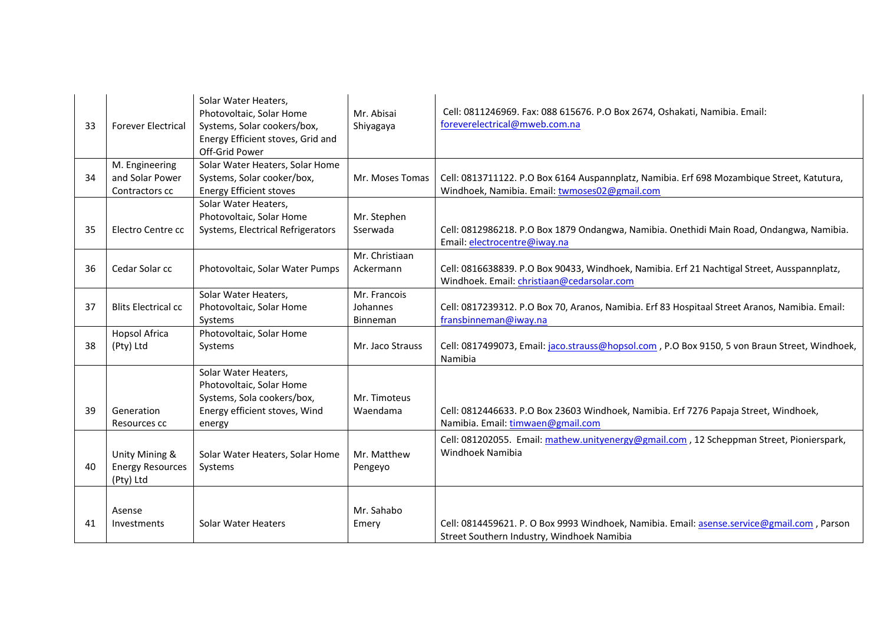| 33 | <b>Forever Electrical</b>                              | Solar Water Heaters,<br>Photovoltaic, Solar Home<br>Systems, Solar cookers/box,<br>Energy Efficient stoves, Grid and<br>Off-Grid Power | Mr. Abisai<br>Shiyagaya              | Cell: 0811246969. Fax: 088 615676. P.O Box 2674, Oshakati, Namibia. Email:<br>foreverelectrical@mweb.com.na                                 |
|----|--------------------------------------------------------|----------------------------------------------------------------------------------------------------------------------------------------|--------------------------------------|---------------------------------------------------------------------------------------------------------------------------------------------|
| 34 | M. Engineering<br>and Solar Power<br>Contractors cc    | Solar Water Heaters, Solar Home<br>Systems, Solar cooker/box,<br><b>Energy Efficient stoves</b>                                        | Mr. Moses Tomas                      | Cell: 0813711122. P.O Box 6164 Auspannplatz, Namibia. Erf 698 Mozambique Street, Katutura,<br>Windhoek, Namibia. Email: twmoses02@gmail.com |
| 35 | Electro Centre cc                                      | Solar Water Heaters,<br>Photovoltaic, Solar Home<br>Systems, Electrical Refrigerators                                                  | Mr. Stephen<br>Sserwada              | Cell: 0812986218. P.O Box 1879 Ondangwa, Namibia. Onethidi Main Road, Ondangwa, Namibia.<br>Email: electrocentre@iway.na                    |
| 36 | Cedar Solar cc                                         | Photovoltaic, Solar Water Pumps                                                                                                        | Mr. Christiaan<br>Ackermann          | Cell: 0816638839. P.O Box 90433, Windhoek, Namibia. Erf 21 Nachtigal Street, Ausspannplatz,<br>Windhoek. Email: christiaan@cedarsolar.com   |
| 37 | <b>Blits Electrical cc</b>                             | Solar Water Heaters,<br>Photovoltaic, Solar Home<br>Systems                                                                            | Mr. Francois<br>Johannes<br>Binneman | Cell: 0817239312. P.O Box 70, Aranos, Namibia. Erf 83 Hospitaal Street Aranos, Namibia. Email:<br>fransbinneman@iway.na                     |
| 38 | Hopsol Africa<br>(Pty) Ltd                             | Photovoltaic, Solar Home<br>Systems                                                                                                    | Mr. Jaco Strauss                     | Cell: 0817499073, Email: jaco.strauss@hopsol.com, P.O Box 9150, 5 von Braun Street, Windhoek,<br>Namibia                                    |
| 39 | Generation<br>Resources cc                             | Solar Water Heaters,<br>Photovoltaic, Solar Home<br>Systems, Sola cookers/box,<br>Energy efficient stoves, Wind<br>energy              | Mr. Timoteus<br>Waendama             | Cell: 0812446633. P.O Box 23603 Windhoek, Namibia. Erf 7276 Papaja Street, Windhoek,<br>Namibia. Email: timwaen@gmail.com                   |
| 40 | Unity Mining &<br><b>Energy Resources</b><br>(Pty) Ltd | Solar Water Heaters, Solar Home<br>Systems                                                                                             | Mr. Matthew<br>Pengeyo               | Cell: 081202055. Email: mathew.unityenergy@gmail.com, 12 Scheppman Street, Pionierspark,<br>Windhoek Namibia                                |
| 41 | Asense<br>Investments                                  | Solar Water Heaters                                                                                                                    | Mr. Sahabo<br>Emery                  | Cell: 0814459621. P. O Box 9993 Windhoek, Namibia. Email: asense.service@gmail.com, Parson<br>Street Southern Industry, Windhoek Namibia    |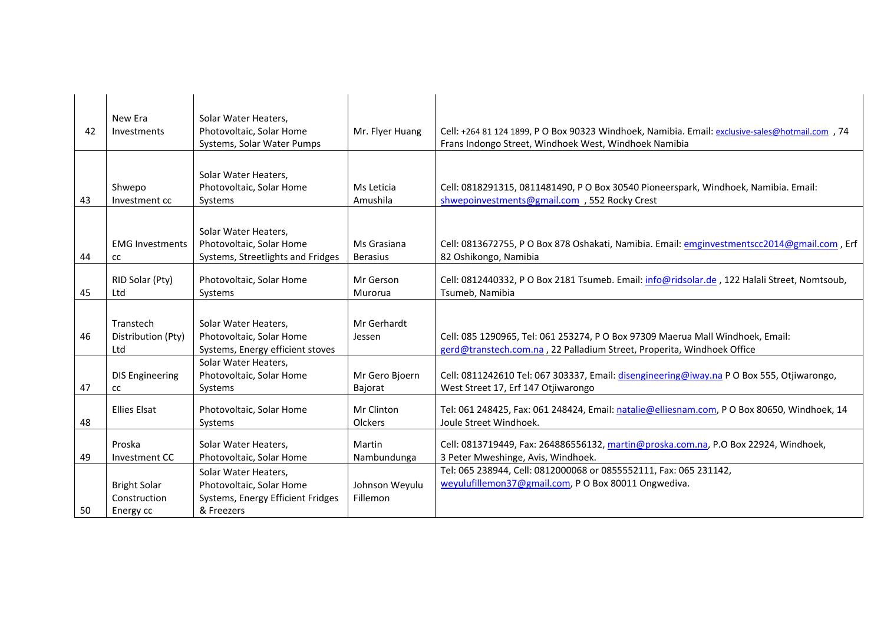| 42 | New Era<br>Investments                           | Solar Water Heaters,<br>Photovoltaic, Solar Home<br>Systems, Solar Water Pumps        | Mr. Flyer Huang                | Cell: +264 81 124 1899, P O Box 90323 Windhoek, Namibia. Email: exclusive-sales@hotmail.com, 74<br>Frans Indongo Street, Windhoek West, Windhoek Namibia                                       |
|----|--------------------------------------------------|---------------------------------------------------------------------------------------|--------------------------------|------------------------------------------------------------------------------------------------------------------------------------------------------------------------------------------------|
| 43 | Shwepo<br>Investment cc                          | Solar Water Heaters,<br>Photovoltaic, Solar Home<br>Systems                           | Ms Leticia<br>Amushila         | Cell: 0818291315, 0811481490, P O Box 30540 Pioneerspark, Windhoek, Namibia. Email:<br>shwepoinvestments@gmail.com, 552 Rocky Crest                                                            |
| 44 | <b>EMG Investments</b><br><b>CC</b>              | Solar Water Heaters,<br>Photovoltaic, Solar Home<br>Systems, Streetlights and Fridges | Ms Grasiana<br><b>Berasius</b> | Cell: 0813672755, P O Box 878 Oshakati, Namibia. Email: emginvestmentscc2014@gmail.com, Erf<br>82 Oshikongo, Namibia                                                                           |
| 45 | RID Solar (Pty)<br>Ltd                           | Photovoltaic, Solar Home<br>Systems                                                   | Mr Gerson<br>Murorua           | Cell: 0812440332, P O Box 2181 Tsumeb. Email: info@ridsolar.de, 122 Halali Street, Nomtsoub,<br>Tsumeb, Namibia                                                                                |
| 46 | Transtech<br>Distribution (Pty)<br>Ltd           | Solar Water Heaters,<br>Photovoltaic, Solar Home<br>Systems, Energy efficient stoves  | Mr Gerhardt<br>Jessen          | Cell: 085 1290965, Tel: 061 253274, P O Box 97309 Maerua Mall Windhoek, Email:<br>gerd@transtech.com.na, 22 Palladium Street, Properita, Windhoek Office                                       |
| 47 | <b>DIS Engineering</b><br>cc                     | Solar Water Heaters.<br>Photovoltaic, Solar Home<br>Systems                           | Mr Gero Bjoern<br>Bajorat      | Cell: 0811242610 Tel: 067 303337, Email: disengineering@iway.na P O Box 555, Otjiwarongo,<br>West Street 17, Erf 147 Otjiwarongo                                                               |
| 48 | <b>Ellies Elsat</b>                              | Photovoltaic, Solar Home<br>Systems                                                   | Mr Clinton<br>Olckers          | Tel: 061 248425, Fax: 061 248424, Email: natalie@elliesnam.com, P O Box 80650, Windhoek, 14<br>Joule Street Windhoek.                                                                          |
| 49 | Proska<br>Investment CC                          | Solar Water Heaters,<br>Photovoltaic, Solar Home<br>Solar Water Heaters,              | Martin<br>Nambundunga          | Cell: 0813719449, Fax: 264886556132, martin@proska.com.na, P.O Box 22924, Windhoek,<br>3 Peter Mweshinge, Avis, Windhoek.<br>Tel: 065 238944, Cell: 0812000068 or 0855552111, Fax: 065 231142, |
| 50 | <b>Bright Solar</b><br>Construction<br>Energy cc | Photovoltaic, Solar Home<br>Systems, Energy Efficient Fridges<br>& Freezers           | Johnson Weyulu<br>Fillemon     | weyulufillemon37@gmail.com, P O Box 80011 Ongwediva.                                                                                                                                           |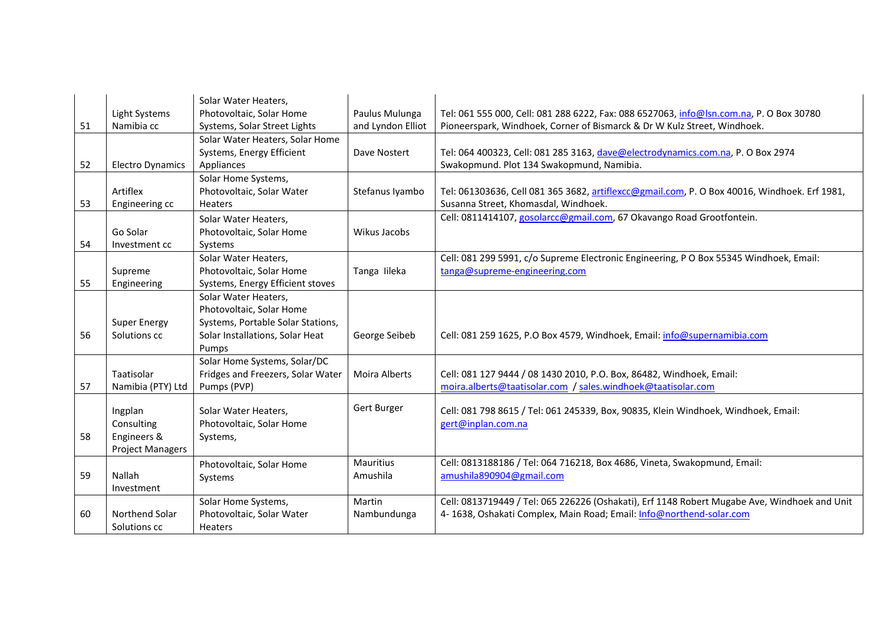|    |                         | Solar Water Heaters,              |                   |                                                                                              |
|----|-------------------------|-----------------------------------|-------------------|----------------------------------------------------------------------------------------------|
|    | Light Systems           | Photovoltaic, Solar Home          | Paulus Mulunga    | Tel: 061 555 000, Cell: 081 288 6222, Fax: 088 6527063, info@lsn.com.na, P. O Box 30780      |
| 51 | Namibia cc              | Systems, Solar Street Lights      | and Lyndon Elliot | Pioneerspark, Windhoek, Corner of Bismarck & Dr W Kulz Street, Windhoek.                     |
|    |                         | Solar Water Heaters, Solar Home   |                   |                                                                                              |
|    |                         | Systems, Energy Efficient         | Dave Nostert      | Tel: 064 400323, Cell: 081 285 3163, dave@electrodynamics.com.na, P. O Box 2974              |
| 52 | <b>Electro Dynamics</b> | Appliances                        |                   | Swakopmund. Plot 134 Swakopmund, Namibia.                                                    |
|    |                         | Solar Home Systems,               |                   |                                                                                              |
|    | Artiflex                | Photovoltaic, Solar Water         | Stefanus Iyambo   | Tel: 061303636, Cell 081 365 3682, artiflexcc@gmail.com, P. O Box 40016, Windhoek. Erf 1981, |
| 53 | Engineering cc          | <b>Heaters</b>                    |                   | Susanna Street, Khomasdal, Windhoek.                                                         |
|    |                         | Solar Water Heaters,              |                   | Cell: 0811414107, gosolarcc@gmail.com, 67 Okavango Road Grootfontein.                        |
|    | Go Solar                | Photovoltaic, Solar Home          | Wikus Jacobs      |                                                                                              |
| 54 | Investment cc           | Systems                           |                   |                                                                                              |
|    |                         | Solar Water Heaters,              |                   | Cell: 081 299 5991, c/o Supreme Electronic Engineering, P O Box 55345 Windhoek, Email:       |
|    | Supreme                 | Photovoltaic, Solar Home          | Tanga lileka      | tanga@supreme-engineering.com                                                                |
| 55 | Engineering             | Systems, Energy Efficient stoves  |                   |                                                                                              |
|    |                         | Solar Water Heaters,              |                   |                                                                                              |
|    |                         | Photovoltaic, Solar Home          |                   |                                                                                              |
|    | <b>Super Energy</b>     | Systems, Portable Solar Stations, |                   |                                                                                              |
| 56 | Solutions cc            | Solar Installations, Solar Heat   | George Seibeb     | Cell: 081 259 1625, P.O Box 4579, Windhoek, Email: info@supernamibia.com                     |
|    |                         | Pumps                             |                   |                                                                                              |
|    |                         | Solar Home Systems, Solar/DC      |                   |                                                                                              |
|    | Taatisolar              | Fridges and Freezers, Solar Water | Moira Alberts     | Cell: 081 127 9444 / 08 1430 2010, P.O. Box, 86482, Windhoek, Email:                         |
| 57 | Namibia (PTY) Ltd       | Pumps (PVP)                       |                   | moira.alberts@taatisolar.com / sales.windhoek@taatisolar.com                                 |
|    |                         |                                   |                   |                                                                                              |
|    | Ingplan                 | Solar Water Heaters,              | Gert Burger       | Cell: 081 798 8615 / Tel: 061 245339, Box, 90835, Klein Windhoek, Windhoek, Email:           |
|    | Consulting              | Photovoltaic, Solar Home          |                   | gert@inplan.com.na                                                                           |
| 58 | Engineers &             | Systems,                          |                   |                                                                                              |
|    | <b>Project Managers</b> |                                   |                   |                                                                                              |
|    |                         | Photovoltaic, Solar Home          | Mauritius         | Cell: 0813188186 / Tel: 064 716218, Box 4686, Vineta, Swakopmund, Email:                     |
| 59 | Nallah                  | Systems                           | Amushila          | amushila890904@gmail.com                                                                     |
|    | Investment              |                                   |                   |                                                                                              |
|    |                         | Solar Home Systems,               | Martin            | Cell: 0813719449 / Tel: 065 226226 (Oshakati), Erf 1148 Robert Mugabe Ave, Windhoek and Unit |
| 60 | Northend Solar          | Photovoltaic, Solar Water         | Nambundunga       | 4-1638, Oshakati Complex, Main Road; Email: Info@northend-solar.com                          |
|    | Solutions cc            | Heaters                           |                   |                                                                                              |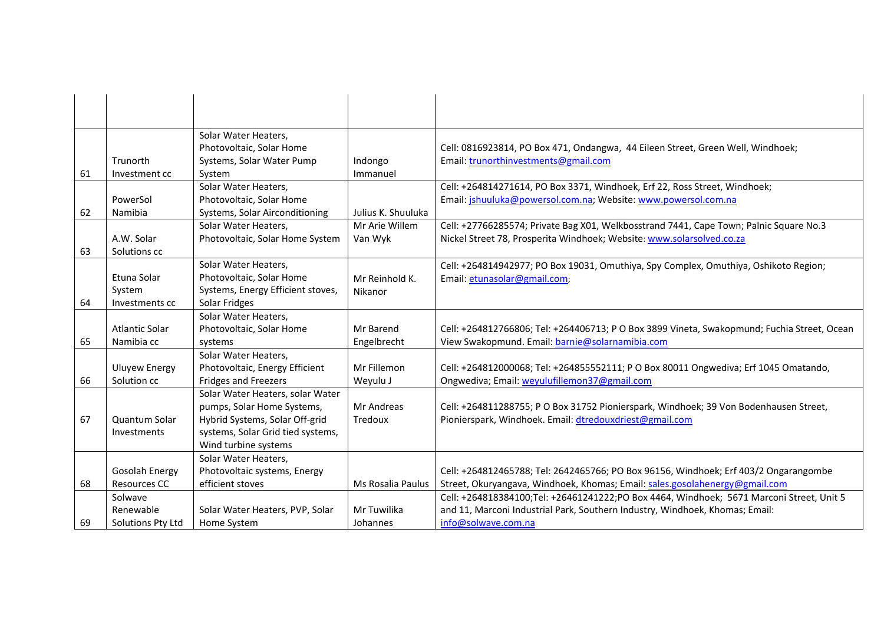| Solar Water Heaters,<br>Photovoltaic, Solar Home<br>Cell: 0816923814, PO Box 471, Ondangwa, 44 Eileen Street, Green Well, Windhoek;<br>Systems, Solar Water Pump<br>Email: trunorthinvestments@gmail.com<br>Trunorth<br>Indongo |  |
|---------------------------------------------------------------------------------------------------------------------------------------------------------------------------------------------------------------------------------|--|
|                                                                                                                                                                                                                                 |  |
|                                                                                                                                                                                                                                 |  |
|                                                                                                                                                                                                                                 |  |
|                                                                                                                                                                                                                                 |  |
|                                                                                                                                                                                                                                 |  |
| Immanuel<br>61<br>System<br>Investment cc                                                                                                                                                                                       |  |
| Cell: +264814271614, PO Box 3371, Windhoek, Erf 22, Ross Street, Windhoek;<br>Solar Water Heaters,                                                                                                                              |  |
| Photovoltaic, Solar Home<br>Email: jshuuluka@powersol.com.na; Website: www.powersol.com.na<br>PowerSol                                                                                                                          |  |
| 62<br>Julius K. Shuuluka<br>Namibia<br>Systems, Solar Airconditioning                                                                                                                                                           |  |
| Solar Water Heaters,<br>Mr Arie Willem<br>Cell: +27766285574; Private Bag X01, Welkbosstrand 7441, Cape Town; Palnic Square No.3                                                                                                |  |
| A.W. Solar<br>Photovoltaic, Solar Home System<br>Nickel Street 78, Prosperita Windhoek; Website: www.solarsolved.co.za<br>Van Wyk                                                                                               |  |
| 63<br>Solutions cc                                                                                                                                                                                                              |  |
| Solar Water Heaters,<br>Cell: +264814942977; PO Box 19031, Omuthiya, Spy Complex, Omuthiya, Oshikoto Region;                                                                                                                    |  |
| Photovoltaic, Solar Home<br>Etuna Solar<br>Mr Reinhold K.<br>Email: etunasolar@gmail.com;                                                                                                                                       |  |
| Systems, Energy Efficient stoves,<br>System<br>Nikanor                                                                                                                                                                          |  |
| 64<br>Solar Fridges<br>Investments cc                                                                                                                                                                                           |  |
| Solar Water Heaters,                                                                                                                                                                                                            |  |
| <b>Atlantic Solar</b><br>Photovoltaic, Solar Home<br>Mr Barend<br>Cell: +264812766806; Tel: +264406713; P O Box 3899 Vineta, Swakopmund; Fuchia Street, Ocean                                                                   |  |
| View Swakopmund. Email: barnie@solarnamibia.com<br>Namibia cc<br>Engelbrecht<br>65<br>systems                                                                                                                                   |  |
| Solar Water Heaters,                                                                                                                                                                                                            |  |
| Photovoltaic, Energy Efficient<br><b>Uluyew Energy</b><br>Mr Fillemon<br>Cell: +264812000068; Tel: +264855552111; P O Box 80011 Ongwediva; Erf 1045 Omatando,                                                                   |  |
| Fridges and Freezers<br>Ongwediva; Email: weyulufillemon37@gmail.com<br>66<br>Solution cc<br>Weyulu J                                                                                                                           |  |
| Solar Water Heaters, solar Water                                                                                                                                                                                                |  |
| pumps, Solar Home Systems,<br>Mr Andreas<br>Cell: +264811288755; P O Box 31752 Pionierspark, Windhoek; 39 Von Bodenhausen Street,                                                                                               |  |
| Hybrid Systems, Solar Off-grid<br>Pionierspark, Windhoek. Email: dtredouxdriest@gmail.com<br>67<br>Quantum Solar<br>Tredoux                                                                                                     |  |
| systems, Solar Grid tied systems,<br>Investments                                                                                                                                                                                |  |
| Wind turbine systems                                                                                                                                                                                                            |  |
| Solar Water Heaters,                                                                                                                                                                                                            |  |
| Cell: +264812465788; Tel: 2642465766; PO Box 96156, Windhoek; Erf 403/2 Ongarangombe<br><b>Gosolah Energy</b><br>Photovoltaic systems, Energy                                                                                   |  |
| Street, Okuryangava, Windhoek, Khomas; Email: sales.gosolahenergy@gmail.com<br><b>Resources CC</b><br>efficient stoves<br>Ms Rosalia Paulus<br>68                                                                               |  |
| Cell: +264818384100;Tel: +26461241222;PO Box 4464, Windhoek; 5671 Marconi Street, Unit 5<br>Solwave                                                                                                                             |  |
| and 11, Marconi Industrial Park, Southern Industry, Windhoek, Khomas; Email:<br>Renewable<br>Solar Water Heaters, PVP, Solar<br>Mr Tuwilika                                                                                     |  |
| 69<br>Solutions Pty Ltd<br>Home System<br>info@solwave.com.na<br>Johannes                                                                                                                                                       |  |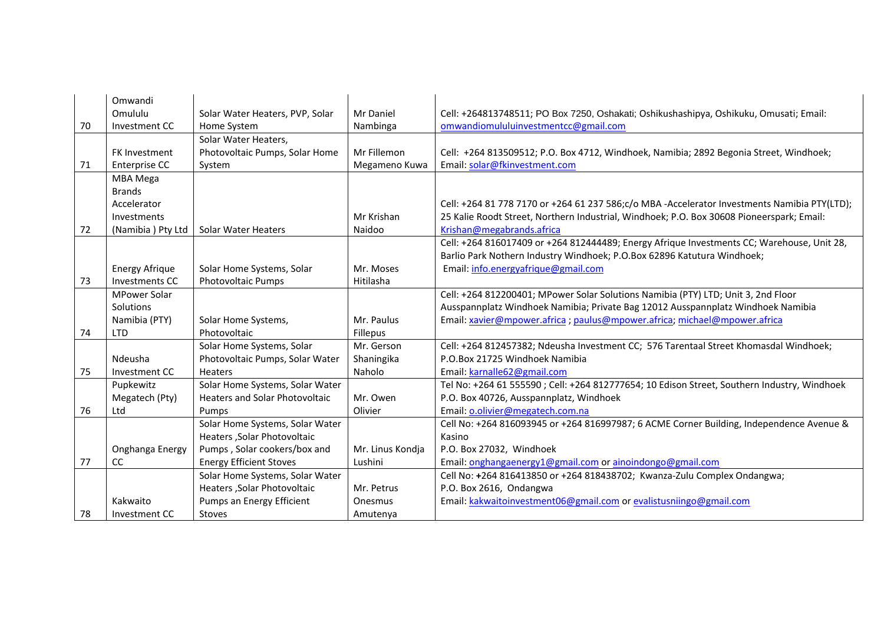|    | Omwandi               |                                       |                  |                                                                                              |
|----|-----------------------|---------------------------------------|------------------|----------------------------------------------------------------------------------------------|
|    | Omululu               | Solar Water Heaters, PVP, Solar       | Mr Daniel        | Cell: +264813748511; PO Box 7250, Oshakati; Oshikushashipya, Oshikuku, Omusati; Email:       |
| 70 | Investment CC         | Home System                           | Nambinga         | omwandiomululuinvestmentcc@gmail.com                                                         |
|    |                       | Solar Water Heaters,                  |                  |                                                                                              |
|    | <b>FK Investment</b>  | Photovoltaic Pumps, Solar Home        | Mr Fillemon      | Cell: +264 813509512; P.O. Box 4712, Windhoek, Namibia; 2892 Begonia Street, Windhoek;       |
| 71 | Enterprise CC         | System                                | Megameno Kuwa    | Email: solar@fkinvestment.com                                                                |
|    | MBA Mega              |                                       |                  |                                                                                              |
|    | <b>Brands</b>         |                                       |                  |                                                                                              |
|    | Accelerator           |                                       |                  | Cell: +264 81 778 7170 or +264 61 237 586;c/o MBA -Accelerator Investments Namibia PTY(LTD); |
|    | Investments           |                                       | Mr Krishan       | 25 Kalie Roodt Street, Northern Industrial, Windhoek; P.O. Box 30608 Pioneerspark; Email:    |
| 72 | (Namibia) Pty Ltd     | <b>Solar Water Heaters</b>            | Naidoo           | Krishan@megabrands.africa                                                                    |
|    |                       |                                       |                  | Cell: +264 816017409 or +264 812444489; Energy Afrique Investments CC; Warehouse, Unit 28,   |
|    |                       |                                       |                  | Barlio Park Nothern Industry Windhoek; P.O.Box 62896 Katutura Windhoek;                      |
|    | <b>Energy Afrique</b> | Solar Home Systems, Solar             | Mr. Moses        | Email: info.energyafrique@gmail.com                                                          |
| 73 | Investments CC        | Photovoltaic Pumps                    | Hitilasha        |                                                                                              |
|    | <b>MPower Solar</b>   |                                       |                  | Cell: +264 812200401; MPower Solar Solutions Namibia (PTY) LTD; Unit 3, 2nd Floor            |
|    | Solutions             |                                       |                  | Ausspannplatz Windhoek Namibia; Private Bag 12012 Ausspannplatz Windhoek Namibia             |
|    | Namibia (PTY)         | Solar Home Systems,                   | Mr. Paulus       | Email: xavier@mpower.africa ; paulus@mpower.africa; michael@mpower.africa                    |
| 74 | <b>LTD</b>            | Photovoltaic                          | Fillepus         |                                                                                              |
|    |                       | Solar Home Systems, Solar             | Mr. Gerson       | Cell: +264 812457382; Ndeusha Investment CC; 576 Tarentaal Street Khomasdal Windhoek;        |
|    | Ndeusha               | Photovoltaic Pumps, Solar Water       | Shaningika       | P.O.Box 21725 Windhoek Namibia                                                               |
| 75 | Investment CC         | <b>Heaters</b>                        | Naholo           | Email: karnalle62@gmail.com                                                                  |
|    | Pupkewitz             | Solar Home Systems, Solar Water       |                  | Tel No: +264 61 555590 ; Cell: +264 812777654; 10 Edison Street, Southern Industry, Windhoek |
|    | Megatech (Pty)        | <b>Heaters and Solar Photovoltaic</b> | Mr. Owen         | P.O. Box 40726, Ausspannplatz, Windhoek                                                      |
| 76 | Ltd                   | Pumps                                 | Olivier          | Email: o.olivier@megatech.com.na                                                             |
|    |                       | Solar Home Systems, Solar Water       |                  | Cell No: +264 816093945 or +264 816997987; 6 ACME Corner Building, Independence Avenue &     |
|    |                       | Heaters , Solar Photovoltaic          |                  | Kasino                                                                                       |
|    | Onghanga Energy       | Pumps, Solar cookers/box and          | Mr. Linus Kondja | P.O. Box 27032, Windhoek                                                                     |
| 77 | cc                    | <b>Energy Efficient Stoves</b>        | Lushini          | Email: onghangaenergy1@gmail.com or ainoindongo@gmail.com                                    |
|    |                       | Solar Home Systems, Solar Water       |                  | Cell No: +264 816413850 or +264 818438702; Kwanza-Zulu Complex Ondangwa;                     |
|    |                       | Heaters , Solar Photovoltaic          | Mr. Petrus       | P.O. Box 2616, Ondangwa                                                                      |
|    | Kakwaito              | Pumps an Energy Efficient             | Onesmus          | Email: kakwaitoinvestment06@gmail.com or evalistusniingo@gmail.com                           |
| 78 | Investment CC         | Stoves                                | Amutenya         |                                                                                              |